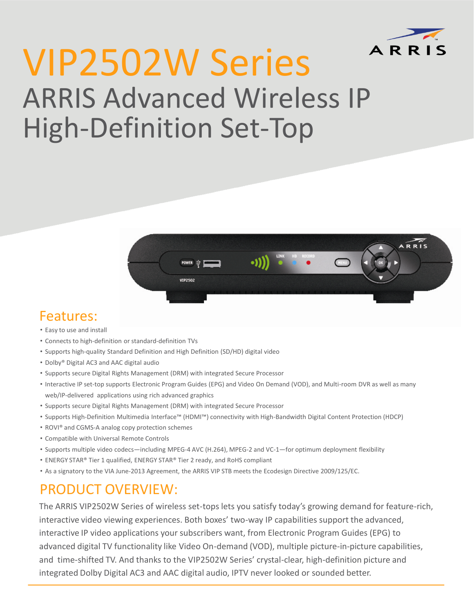

# VIP2502W Series ARRIS Advanced Wireless IP High-Definition Set-Top



#### Features:

- Easy to use and install
- Connects to high-definition or standard-definition TVs
- Supports high-quality Standard Definition and High Definition (SD/HD) digital video
- Dolby® Digital AC3 and AAC digital audio
- Supports secure Digital Rights Management (DRM) with integrated Secure Processor
- Interactive IP set-top supports Electronic Program Guides (EPG) and Video On Demand (VOD), and Multi-room DVR as well as many web/IP-delivered applications using rich advanced graphics
- Supports secure Digital Rights Management (DRM) with integrated Secure Processor
- Supports High-Definition Multimedia Interface™ (HDMI™) connectivity with High-Bandwidth Digital Content Protection (HDCP)
- ROVI® and CGMS-A analog copy protection schemes
- Compatible with Universal Remote Controls
- Supports multiple video codecs—including MPEG-4 AVC (H.264), MPEG-2 and VC-1—for optimum deployment flexibility
- ENERGY STAR® Tier 1 qualified, ENERGY STAR® Tier 2 ready, and RoHS compliant
- As a signatory to the VIA June-2013 Agreement, the ARRIS VIP STB meets the Ecodesign Directive 2009/125/EC.

### PRODUCT OVERVIEW:

The ARRIS VIP2502W Series of wireless set-tops lets you satisfy today's growing demand for feature-rich, interactive video viewing experiences. Both boxes' two-way IP capabilities support the advanced, interactive IP video applications your subscribers want, from Electronic Program Guides (EPG) to advanced digital TV functionality like Video On-demand (VOD), multiple picture-in-picture capabilities, and time-shifted TV. And thanks to the VIP2502W Series' crystal-clear, high-definition picture and integrated Dolby Digital AC3 and AAC digital audio, IPTV never looked or sounded better.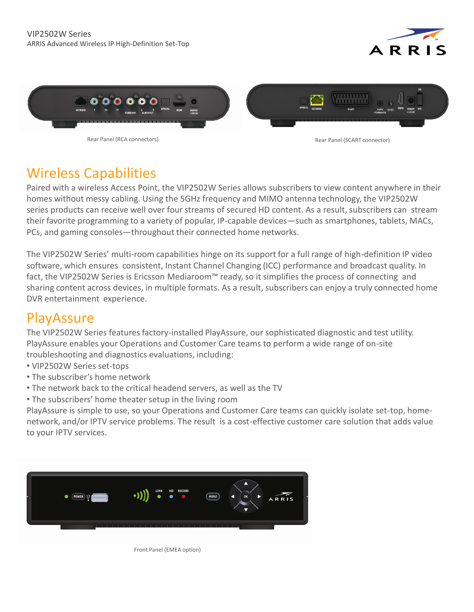



Rear Panel (RCA connectors) and rear Panel (SCART connectors) and rear Panel (SCART connector)

## Wireless Capabilities

Paired with a wireless Access Point, the VIP2502W Series allows subscribers to view content anywhere in their homes without messy cabling. Using the 5GHz frequency and MIMO antenna technology, the VIP2502W series products can receive well over four streams of secured HD content. As a result, subscribers can stream their favorite programming to a variety of popular, IP-capable devices—such as smartphones, tablets, MACs, PCs, and gaming consoles—throughout their connected home networks.

The VIP2502W Series' multi-room capabilities hinge on its support for a full range of high-definition IP video software, which ensures consistent, Instant Channel Changing (ICC) performance and broadcast quality. In fact, the VIP2502W Series is Ericsson Mediaroom™ ready, so it simplifies the process of connecting and sharing content across devices, in multiple formats. As a result, subscribers can enjoy a truly connected home DVR entertainment experience.

### **PlayAssure**

The VIP2502W Series features factory-installed PlayAssure, our sophisticated diagnostic and test utility. PlayAssure enables your Operations and Customer Care teams to perform a wide range of on-site troubleshooting and diagnostics evaluations, including:

- VIP2502W Series set-tops
- The subscriber's home network
- The network back to the critical headend servers, as well as the TV
- The subscribers' home theater setup in the living room

PlayAssure is simple to use, so your Operations and Customer Care teams can quickly isolate set-top, homenetwork, and/or IPTV service problems. The result is a cost-effective customer care solution that adds value to your IPTV services.



Front Panel (EMEA option)